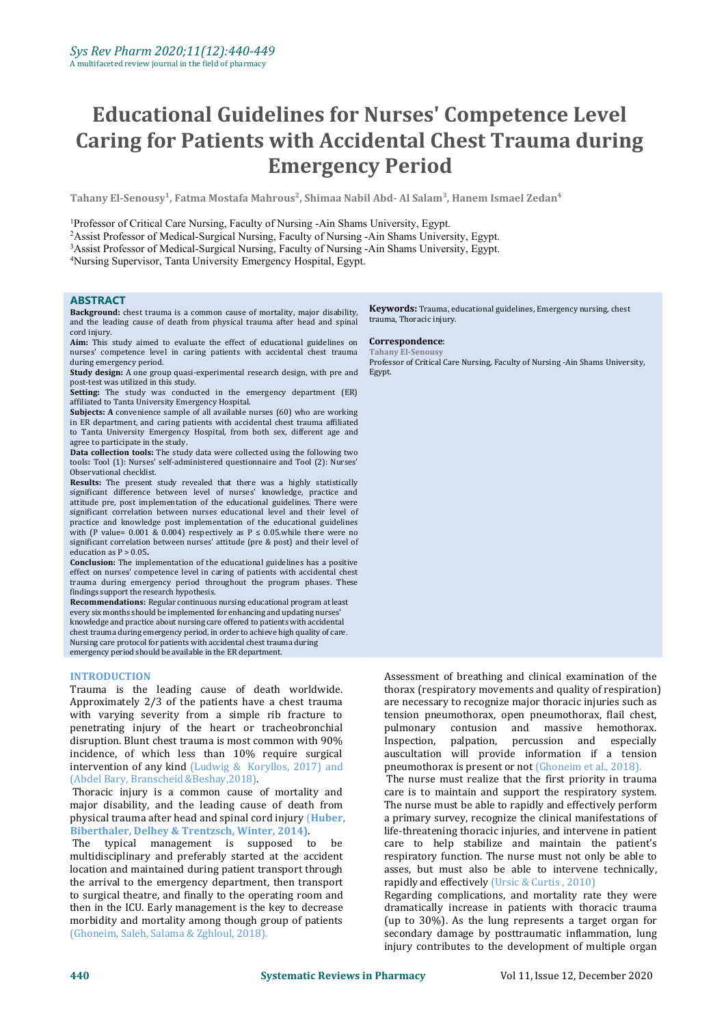# **Educational Guidelines for Nurses' Competence Level Caring for Patients with Accidental Chest Trauma during Emergency Period**

Tahany El-Senousy $^1$ , Fatma Mostafa Mahrous $^2$ , Shimaa Nabil Abd- Al Salam $^3$ , Hanem Ismael Zedan $^4$ **4**

<sup>1</sup>Professor of Critical Care Nursing, Faculty of Nursing -Ain Shams University, Egypt.

<sup>2</sup>Assist Professor of Medical-Surgical Nursing, Faculty of Nursing -Ain Shams University, Egypt.

<sup>3</sup>Assist Professor of Medical-Surgical Nursing, Faculty of Nursing -Ain Shams University, Egypt.

<sup>4</sup>Nursing Supervisor, Tanta University Emergency Hospital, Egypt.

### **ABSTRACT**

**Background:** chest trauma is a common cause of mortality, major disability, and the leading cause of death from physical trauma after head and spinal

Aim: This study aimed to evaluate the effect of educational guidelines on **Correspondence**: nurses' competence level in caring patients with accidental chest trauma

**Study design:** A one group quasi-experimental research design, with pre and post-test was utilized in this study.

**Setting:** The study was conducted in the emergency department (ER) affiliated to Tanta University Emergency Hospital.

Subjects: A convenience sample of all available nurses (60) who are working in ER department, and caring patients with accidental chest trauma affiliated to Tanta University Emergency Hospital, from both sex, different age and

Data collection tools: The study data were collected using the following two tools**:** Tool (1): Nurses' self-administered questionnaire and Tool (2): Nurses'

Observational checklist. **Results:** The present study revealed that there was <sup>a</sup> highly statistically significant difference between level of nurses' knowledge, practice and attitude pre, post implementation of the educational guidelines. There were significant correlation between nurses educational level and their level of practice and knowledge post implementation of the educational guidelines with (P value=  $0.001 \& 0.004$ ) respectively as P  $\leq 0.05$  while there were no significant correlation between nurses' attitude (pre & post) and their level of education as  $P > 0.05$ .

Conclusion: The implementation of the educational guidelines has a positive effect on nurses' competence level in caring of patients with accidental chest trauma during emergency period throughout the program phases. These

findings support the research hypothesis. **Recommendations:** Regular continuous nursing educational program at least every six months should be implemented for enhancing and updating nurses' knowledge and practice about nursing care offered to patients with accidental chest trauma during emergency period, in order to achieve high quality of care. Nursing care protocol for patients with accidental chest trauma during emergency period should be available in the ER department.

### **INTRODUCTION**

Trauma is the leading cause of death worldwide. Approximately 2/3 of the patients have a chest trauma with varying severity from a simple rib fracture to tension pne<br>penetrating injury of the heart or tracheobronchial bulmonary penetrating injury of the heart or tracheobronchial pulmonary<br>disruption. Blunt chest trauma is most common with 90% Inspection, disruption. Blunt chest trauma is most common with 90% [nspection, palpation, incidence, of which less than  $10\%$  require surgical intervention of any kind ([Ludwig](https://www.ncbi.nlm.nih.gov/pubmed/?term=Ludwig%20C%5BAuthor%5D&cauthor=true&cauthor_uid=28446982) & [Koryllos,](https://www.ncbi.nlm.nih.gov/pubmed/?term=Koryllos%20A%5BAuthor%5D&cauthor=true&cauthor_uid=28446982)2017) and (Abdel Bary, Branscheid[&Beshay,](https://www.sciencedirect.com/science/article/pii/S1110578X17302171)2018).

Thoracic injury is a common cause of mortality and major disability, and the leading cause of death from physical trauma after head and spinal cord injury (**Huber, Biberthaler, Delhey & Trentzsch, Winter, 2014)**.

typical management is supposed to multidisciplinary and preferably started at the accident respiratory function. The nurse must not only be able to intervene technically,  $\frac{1}{1}$  asses, but must also be able to intervene technically, location and maintained during patient transport through the arrival to the emergency department, then transport to surgical theatre, and finally to the operating room and then in the ICU. Early management is the key to decrease morbidity and mortality among though group of patients (Ghoneim, Saleh, Salama & Zghloul, 2018).

**Keywords:** Trauma, educational guidelines, Emergency nursing, chest trauma, Thoracic injury.

# **Correspondence**: **Tahany El-Senousy**

Professor of Critical Care Nursing, Faculty of Nursing -Ain Shams University, Egypt.

Assessment of breathing and clinical examination of the thorax (respiratory movements and quality of respiration) are necessary to recognize major thoracic injuries such as tension pneumothorax, open pneumothorax, flail chest, contusion and massive hemothorax. percussion and especially auscultation will provide information if a tension pneumothorax is present or not (Ghoneim et al., 2018). The nurse must realize that the first priority in trauma care is to maintain and support the respiratory system. The nurse must be able to rapidly and effectively perform a primary survey, recognize the clinical manifestations of

life-threatening thoracic injuries, and intervene in patient care to help stabilize and maintain the patient's respiratory function. The nurse must not only be able to rapidly and effectively (Ursic & Curtis , 2010)

Regarding complications, and mortality rate they were dramatically increase in patients with thoracic trauma (up to 30%). As the lung represents a target organ for secondary damage by posttraumatic inflammation, lung injury contributes to the development of multiple organ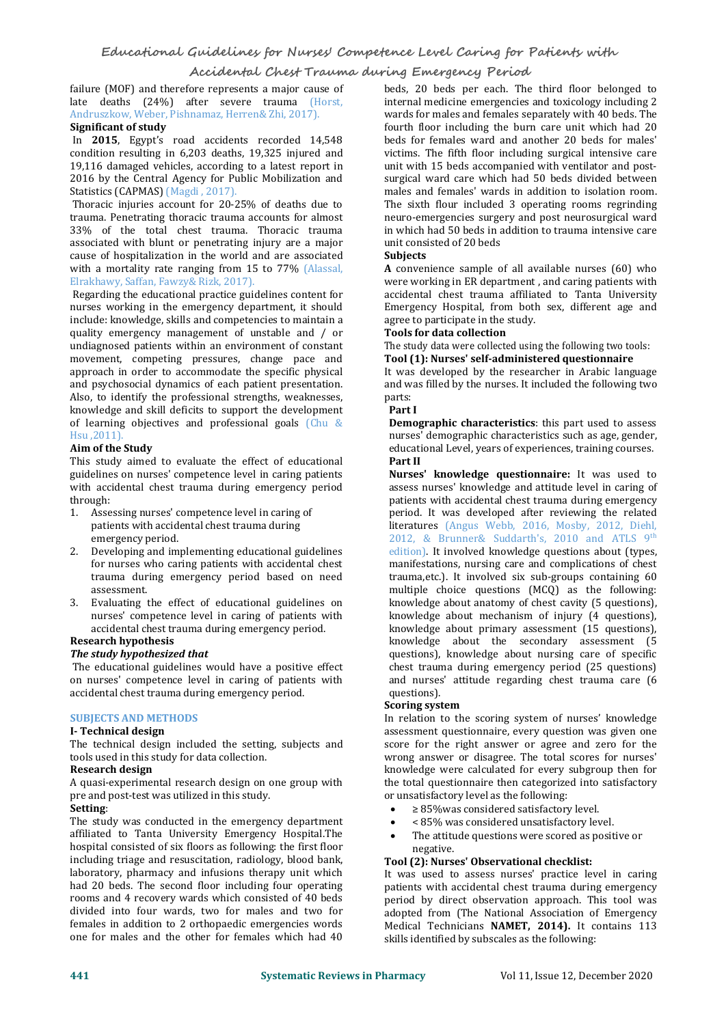failure (MOF) and therefore represents a major cause of late deaths (24%) after severe trauma (Horst, Andruszkow, Weber, Pishnamaz, Herren& Zhi, 2017). **Significant of study**

In **2015**, Egypt's road accidents recorded 14,548 condition resulting in 6,203 deaths, 19,325 injured and 19,116 damaged vehicles, according to alatest report in 2016 by the Central Agency for Public Mobilization and Statistics (CAPMAS) ([Magdi](https://www.egypttoday.com/Editor/16), 2017).

Thoracic injuries account for 20-25% of deaths due to trauma. Penetrating thoracic trauma accounts for almost 33% of the total chest trauma. Thoracic trauma associated with blunt or penetrating injury are a major unit cons<br>cause of hospitalization in the world and are associated **Subjects** cause of hospitalization in the world and are associated with a mortality rate ranging from 15 to 77% (Alassal, Elrakhawy, Saffan, Fawzy& Rizk, 2017).

Regarding the educational practice guidelines content for nurses working in the emergency department, it should<br>include: knowledge, skills and competencies to maintain a agree to participate in the study. include: knowledge, skills and competencies to maintain a undiagnosed patients within an environment of constant The study data were collected using the following two tools: movement, competing pressures, change pace and approach in order to accommodate the specific physical and psychosocial dynamics of each patient presentation. and w<br>Also, to identify the professional strengths, weaknesses. barts: Also, to identify the professional strengths, weaknesses, knowledge and skill deficits to support the development of learning objectives and professional goals (Chu & **Demographic characteristics**: this part used to assess has unit and the murses' demographic characteristics such as age, gender,

### **Aim of the Study**

This study aimed to evaluate the effect of educational **Part II** guidelines on nurses' competence level in caring patients with accidental chest trauma during emergency period through:

- 1. Assessing nurses' competence level in caring of patients with accidental chest trauma during emergency period.
- 2. Developing and implementing educational guidelines for nurses who caring patients with accidental chest trauma during emergency period based on need assessment.
- 3. Evaluating the effect of educational guidelines on nurses' competence level in caring of patients with accidental chest trauma during emergency period. **Research hypothesis**

*The study hypothesized that*

The educational guidelines would have a positive effect on nurses' competence level in caring of patients with and nurses accidental chest trauma during emergency period. questions). accidental chest trauma during emergency period.

### **SUBJECTS AND METHODS**

### **I- Technical design**

The technical design included the setting, subjects and tools used in this study for data collection. **Research design**

A quasi-experimental research design on one group with the total questionnaire then categorize<br>pre and post-test was utilized in this study. The section or unsatisfactory level as the following: pre and post-test was utilized in this study. **Setting**:

The study was conducted in the emergency department  $\bullet$  < 85% was considered unsatisfactory level. affiliated to Tanta University Emergency Hospital.The hospital consisted of six floors as following: the first floor including triage and resuscitation, radiology, blood bank, laboratory, pharmacy and infusions therapy unit which had 20 beds. The second floor including four operating<br>rooms and 4 recovery wards which consisted of 40 beds divided into four wards, two for males and two for females in addition to 2 orthopaedic emergencies words one for males and the other for females which had 40

beds, 20 beds per each. The third floor belonged to internal medicine emergencies and toxicology including 2 wards for males and females separately with 40 beds. The fourth floor including the burn care unit which had 20 beds for females ward and another 20 beds for males' victims. The fifth floor including surgical intensive care unit with 15 beds accompanied with ventilator and post surgical ward care which had 50 beds divided between males and females' wards in addition to isolation room. The sixth flour included 3 operating rooms regrinding neuro-emergencies surgery and post neurosurgical ward in which had 50 beds in addition to trauma intensive care unit consisted of 20 beds

**A** convenience sample of all available nurses (60) who were working in ER department , and caring patients with accidental chest trauma affiliated to Tanta University Emergency Hospital, from both sex, different age and

### **Tools** for data collection

 $Tool (1):$  Nurses' self-administered questionnaire

It was developed by the researcher in Arabic language and was filled by the nurses. It included the following two

### **Part I**

**Demographic characteristics**: this part used to assess educational Level, years of experiences, training courses.

**Nurses' knowledge questionnaire:** It was used to assess nurses' knowledge and attitude level in caring of patients with accidental chest trauma during emergency period. It was developed after reviewing the related literatures (Angus Webb, 2016, Mosby, 2012, Diehl, 2012, & Brunner& Suddarth's, 2010 and ATLS 9<sup>th</sup> edition). It involved knowledge questions about (types, manifestations, nursing care and complications of chest trauma,etc.). It involved six sub-groups containing 60 multiple choice questions (MCQ) as the following: knowledge about anatomy of chest cavity (5 questions), knowledge about mechanism of injury (4 questions), knowledge about primary assessment (15 questions), knowledge about the secondary assessment (5 questions), knowledge about nursing care of specific chest trauma during emergency period (25 questions) and nurses' attitude regarding chest trauma care (6

### **Scoring** system

In relation to the scoring system of nurses' knowledge assessment questionnaire, every question was given one score for the right answer or agree and zero for the wrong answer or disagree. The total scores for nurses' knowledge were calculated for every subgroup then for the total questionnaire then categorized into satisfactory

- 
- 
- $\bullet$  ≥ 85%was considered satisfactory level.<br>  $\bullet$  < 85% was considered unsatisfactory level.<br>  $\bullet$  The attitude questions were scored as positive or

### **Tool** (2): Nurses' Observational checklist:

It was used to assess nurses' practice level in caring patients with accidental chest trauma during emergency period by direct observation approach. This tool was adopted from (The National Association of Emergency Medical Technicians **NAMET, 2014).** It contains 113 skills identified by subscales as the following: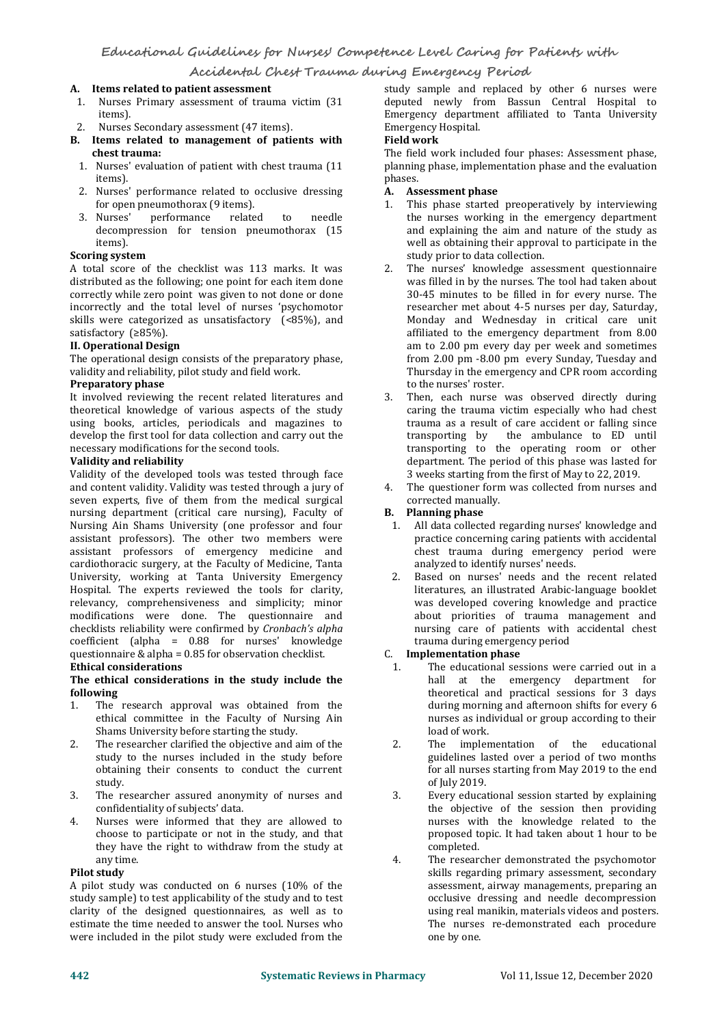### **A. Items related to patient assessment**

- 1. Nurses Primary assessment of trauma victim (31 items).<br>2. Nurses Secondary assessment (47 items).
- 
- **2. Items related to management of patients with Field work chest trauma:**
- 1. Nurses' evaluation of patient with chest trauma (11 plannin items). items).
- 2. Nurses' performance related to occlusive dressing **A**.<br>for open pneumothorax (9 items). for open pneumothorax (9 items).<br>
3. Nurses' performance related to needle
- 3. Nurses' performance related to needle decompression for tension pneumothorax (15

# items). **Scoring system**

A total score of the checklist was 113 marks. It was distributed as the following; one point for each item done correctly while zero point was given to not done or done incorrectly and the total level of nurses 'psychomotor skills were categorized as unsatisfactory  $(\leq 85\%)$ , and satisfactory  $(\geq 85\%)$ .

### satisfactory (≥85%). **II. Operational Design**

The operational design consists of the preparatory phase, validity and reliability, pilot study and field work. **Preparatory phase**

It involved reviewing the recent related literatures and theoretical knowledge of various aspects of the study using books, articles, periodicals and magazines to develop the first tool for data collection and carry out the necessary modifications for the second tools. **Validity and reliability**

Validity of the developed tools was tested through face 3 weeks starting from the first of May to 22, 2019.<br>A The questioner form was collected from nurses and content validity. Validity was tested through a jury of th and content validity. Validity was tested through a jury of factor of the questioner form<br>seven experts, five of them from the medical surgical corrected manually. seven experts, five of them from the medical surgical nursing department (critical care nursing), Faculty of Nursing Ain Shams University (one professor and four assistant professors). The other two members were assistant professors of emergency medicine and cardiothoracic surgery, at the Faculty of Medicine, Tanta University, working at Tanta University Emergency Hospital. The experts reviewed the tools for clarity, relevancy, comprehensiveness and simplicity; minor modifications were done. The questionnaire and checklists reliability were confirmed by *Cronbach's alpha* coefficient (alpha = 0.88 for nurses' knowledge questionnaire & alpha <sup>=</sup> 0.85 for observation checklist. **Ethical considerations**

### **The ethical considerations in the study include the following**

- 1. The research approval was obtained from the ethical committee in the Faculty of Nursing Ain Shams University before starting the study.
- 2. The researcher clarified the objective and aim of the study to the nurses included in the study before obtaining their consents to conduct the current study.
- 3. The researcher assured anonymity of nurses and confidentiality of subjects' data.
- 4. Nurses were informed that they are allowed to choose to participate or not in the study, and that they have the right to withdraw from the study at any time. 4.

### **Pilot** study

A pilot study was conducted on 6 nurses (10% of the study sample) to test applicability of the study and to test clarity of the designed questionnaires, as well as to estimate the time needed to answer the tool. Nurses who were included in the pilot study were excluded from the

study sample and replaced by other 6 nurses were deputed newly from Bassun Central Hospital to Emergency department affiliated to Tanta University **Emergency Hospital.** 

The field work included four phases: Assessment phase, planning phase, implementation phase and the evaluation

### phases. **A. Assessment phase**

- This phase started preoperatively by interviewing the nurses working in the emergency department<br>and explaining the aim and nature of the study as well as obtaining their approval to participate in the study prior to data collection.
- The nurses' knowledge assessment questionnaire was filled in by the nurses. The tool had taken about 30-45 minutes to be filled in for every nurse. The researcher met about 4-5 nurses per day, Saturday, Monday and Wednesday in critical care unit affiliated to the emergency department from 8.00 am to 2.00 pm every day per week and sometimes from 2.00 pm -8.00 pm every Sunday, Tuesday and Thursday in the emergency and CPR room according to the nurses' roster.
- Then, each nurse was observed directly during caring the trauma victim especially who had chest trauma as a result of care accident or falling since transporting by the ambulance to ED until transporting to the operating room or other department. The period of this phase was lasted for
- The questioner form was collected from nurses and

### corrected manually. **B. Planning phase**

- All data collected regarding nurses' knowledge and practice concerning caring patients with accidental chest trauma during emergency period were analyzed to identify nurses' needs.
- Based on nurses' needs and the recent related literatures, an illustrated Arabic-language booklet was developed covering knowledge and practice about priorities of trauma management and nursing care of patients with accidental chest trauma during emergency period

### C. **Implementation phase**

- The educational sessions were carried out in a hall at the emergency department for theoretical and practical sessions for 3 days during morning and afternoon shifts for every 6 nurses as individual or group according to their load of work.
- The implementation of the educational guidelines lasted over a period of two months for all nurses starting from May 2019 to the end of July 2019.
- Every educational session started by explaining the objective of the session then providing nurses with the knowledge related to the proposed topic. It had taken about 1 hour to be completed.
- The researcher demonstrated the psychomotor skills regarding primary assessment, secondary assessment, airway managements, preparing an occlusive dressing and needle decompression using real manikin, materials videos and posters. The nurses re-demonstrated each procedure one by one.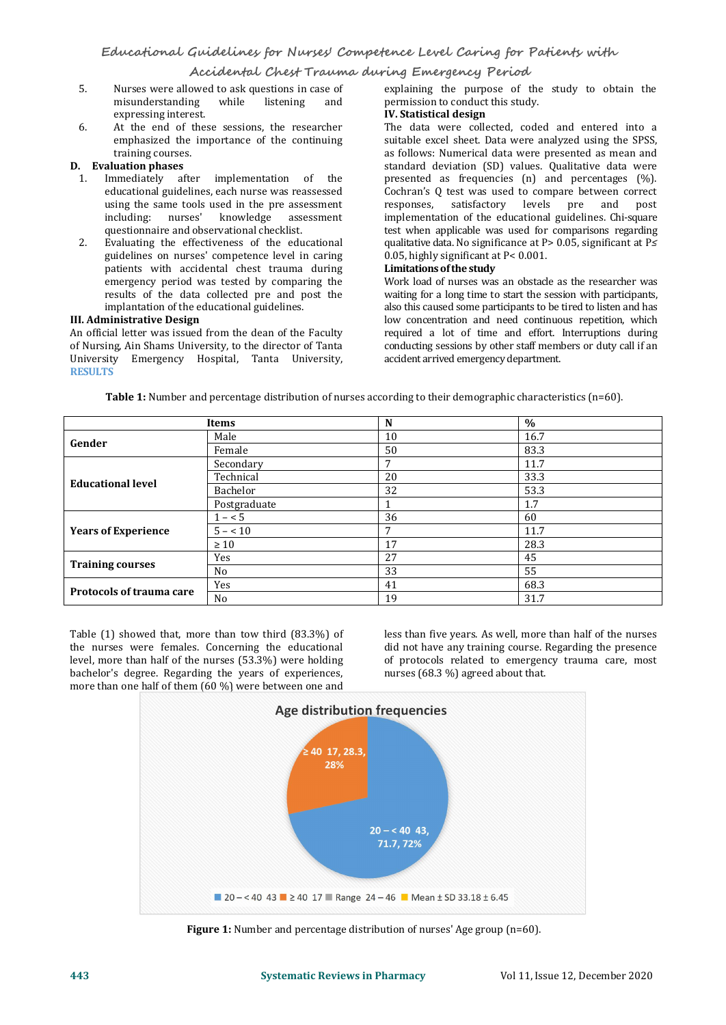- 5. Nurses were allowed to ask questions in case of explaining the purpose of the misunderstanding while listening and permission to conduct this study. misunderstanding expressing interest.
- 6. At the end of these sessions, the researcher emphasized the importance of the continuing<br>training courses.

### **D.** Evaluation phases

- 1. Immediately after implementation of the educational guidelines, each nurse was reassessed using the same tools used in the pre assessment including: nurses' knowledge assessment questionnaire and observational checklist.
- 2. Evaluating the effectiveness of the educational qualitative data. No significance at  $P$ : guidelines on nurses' competence level in caring 0.05, highly significant at  $P < 0.001$ . guidelines on nurses' competence level in caring patients with accidental chest trauma during emergency period was tested by comparing the results of the data collected pre and post the implantation of the educational guidelines. **III. Administrative Design**

An official letter was issued from the dean of the Faculty of Nursing, Ain Shams University, to the director of Tanta conducting sessions by other staff meminion University<br>University Emergency Hospital, Tanta University, accident arrived emergency department. University Emergency Hospital, Tanta University, accident arrived emergencydepartment. **RESULTS**

explaining the purpose of the study to obtain the

# permission to conductthis study. **IV. Statistical design**

The data were collected, coded and entered into a suitable excel sheet. Data were analyzed using the SPSS, as follows: Numerical data were presented as mean and standard deviation (SD) values. Qualitative data were presented as frequencies (n) and percentages (%). Cochran's Q test was used to compare between correct<br>responses. satisfactory levels pre and post responses, satisfactory levels pre and implementation of the educational guidelines. Chi-square test when applicable was used for comparisons regarding qualitative data. No significance at P> 0.05, significant at P*≤*

### 0.05, highly significant at P< 0.001. **Limitationsofthe study**

Work load of nurses was an obstacle as the researcher was waiting for a long time to start the session with participants, also this caused some participants to be tired to listen and has low concentration and need continuous repetition, which required a lot of time and effort. Interruptions during conducting sessions by other staff members or duty call if an

|                            | Items          | N  | $\%$ |  |
|----------------------------|----------------|----|------|--|
| Gender                     | Male           | 10 | 16.7 |  |
|                            | Female         | 50 | 83.3 |  |
|                            | Secondary      | 7  | 11.7 |  |
| <b>Educational level</b>   | Technical      | 20 | 33.3 |  |
|                            | Bachelor       | 32 | 53.3 |  |
|                            | Postgraduate   |    | 1.7  |  |
|                            | $1 - 5$        | 36 | 60   |  |
| <b>Years of Experience</b> | $5 - 10$       | -  | 11.7 |  |
|                            | $\geq 10$      | 17 | 28.3 |  |
|                            | Yes            | 27 | 45   |  |
| <b>Training courses</b>    | No             | 33 | 55   |  |
| Protocols of trauma care   | Yes            | 41 | 68.3 |  |
|                            | N <sub>0</sub> | 19 | 31.7 |  |

**Table 1:** Number and percentage distribution of nurses according to their demographic characteristics (n=60).

Table (1) showed that, more than tow third (83.3%) of the nurses were females. Concerning the educational level, more than half of the nurses (53.3%) were holding bachelor's degree. Regarding the years of experiences, more than one half of them (60 %) were between one and

less than five years. As well, more than half of the nurses did not have any training course. Regarding the presence of protocols related to emergency trauma care, most nurses (68.3 %) agreed about that.



**Figure 1:** Number and percentage distribution of nurses' Age group (n=60).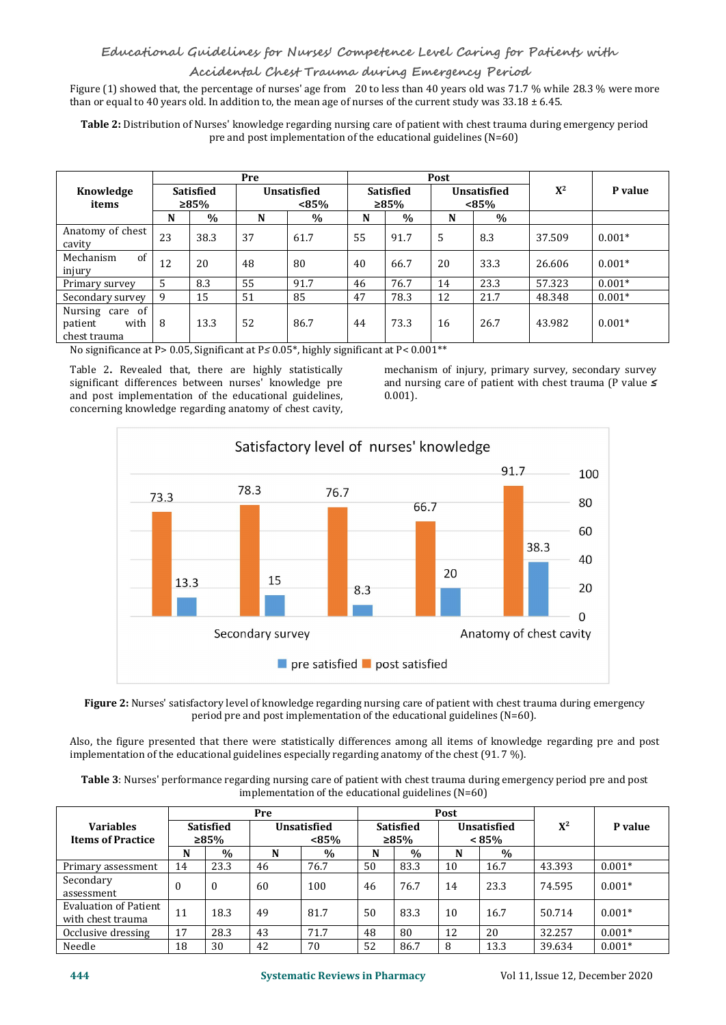Figure (1) showed that, the percentage of nurses' age from 20 to less than 40 years old was 71.7 % while 28.3 % were more than or equal to 40 years old. In addition to, the mean age of nurses of the current study was  $33.18 \pm 6.45$ .

**Table 2:** Distribution of Nurses' knowledge regarding nursing care of patient with chest trauma during emergency period pre and post implementation of the educational guidelines (N=60)

|                                                    |              |           | Pre                            |      |                   |               | Post                           |      |        |          |
|----------------------------------------------------|--------------|-----------|--------------------------------|------|-------------------|---------------|--------------------------------|------|--------|----------|
| Knowledge                                          |              | Satisfied | <b>Unsatisfied</b><br>$< 85\%$ |      | Satisfied<br>≥85% |               | <b>Unsatisfied</b><br>$< 85\%$ |      | $X^2$  | P value  |
| items                                              |              | ≥85%      |                                |      |                   |               |                                |      |        |          |
|                                                    | N            | $\%$      | N                              | $\%$ | N                 | $\frac{0}{0}$ | N                              | $\%$ |        |          |
| Anatomy of chest<br>cavity                         | 23           | 38.3      | 37                             | 61.7 | 55                | 91.7          | .5                             | 8.3  | 37.509 | $0.001*$ |
| of<br>Mechanism<br>injury                          | 12           | 20        | 48                             | 80   | 40                | 66.7          | 20                             | 33.3 | 26.606 | $0.001*$ |
| Primary survey                                     | 5            | 8.3       | 55                             | 91.7 | 46                | 76.7          | 14                             | 23.3 | 57.323 | $0.001*$ |
| Secondary survey                                   | $\mathbf{q}$ | 15        | 51                             | 85   | 47                | 78.3          | 12                             | 21.7 | 48.348 | $0.001*$ |
| Nursing care of<br>patient<br>with<br>chest trauma | 8            | 13.3      | 52                             | 86.7 | 44                | 73.3          | 16                             | 26.7 | 43.982 | $0.001*$ |

No significance at P> 0.05, Significant at P*≤* 0.05\*, highly significant at P< 0.001\*\*

significant differences between nurses' knowledge pre and post implementation of the educational guidelines, concerning knowledge regarding anatomy of chest cavity, Table 2. Revealed that, there are highly statistically mechanism of injury, primary survey, secondary survey significant differences between nurses' knowledge pre and nursing care of patient with chest trauma (P value  $\le$ 

Table 2. Revealed that, there are highly statistically mechanism of injury, primary survey, secondary survey and nursing care of patient with chest trauma (P value *≤* 0.001).



**Figure 2:** Nurses' satisfactory level of knowledge regarding nursing care of patient with chest trauma during emergency period pre and post implementation of the educational guidelines (N=60).

Also, the figure presented that there were statistically differences among all items of knowledge regarding pre and post implementation of the educational guidelines especially regarding anatomy of the chest (91. 7 %).

| Table 3: Nurses' performance regarding nursing care of patient with chest trauma during emergency period pre and post |  |
|-----------------------------------------------------------------------------------------------------------------------|--|
| implementation of the educational guidelines $(N=60)$                                                                 |  |

|                                                   |                             |              | Pre                            |      |                   |      | Post                    |      |        |          |
|---------------------------------------------------|-----------------------------|--------------|--------------------------------|------|-------------------|------|-------------------------|------|--------|----------|
| <b>Variables</b><br><b>Items of Practice</b>      | <b>Satisfied</b><br>$>85\%$ |              | <b>Unsatisfied</b><br>$< 85\%$ |      | Satisfied<br>≥85% |      | Unsatisfied<br>$< 85\%$ |      | $X^2$  | P value  |
|                                                   | N                           | $\%$         | N                              | $\%$ | N                 | $\%$ | N                       | $\%$ |        |          |
| Primary assessment                                | 14                          | 23.3         | 46                             | 76.7 | 50                | 83.3 | 10                      | 16.7 | 43.393 | $0.001*$ |
| Secondary<br>assessment                           | $\theta$                    | $\mathbf{0}$ | 60                             | 100  | 46                | 76.7 | 14                      | 23.3 | 74.595 | $0.001*$ |
| <b>Evaluation of Patient</b><br>with chest trauma | 11                          | 18.3         | 49                             | 81.7 | 50                | 83.3 | 10                      | 16.7 | 50.714 | $0.001*$ |
| Occlusive dressing                                | 17                          | 28.3         | 43                             | 71.7 | 48                | 80   | 12                      | 20   | 32.257 | $0.001*$ |
| Needle                                            | 18                          | 30           | 42                             | 70   | 52                | 86.7 | 8                       | 13.3 | 39.634 | $0.001*$ |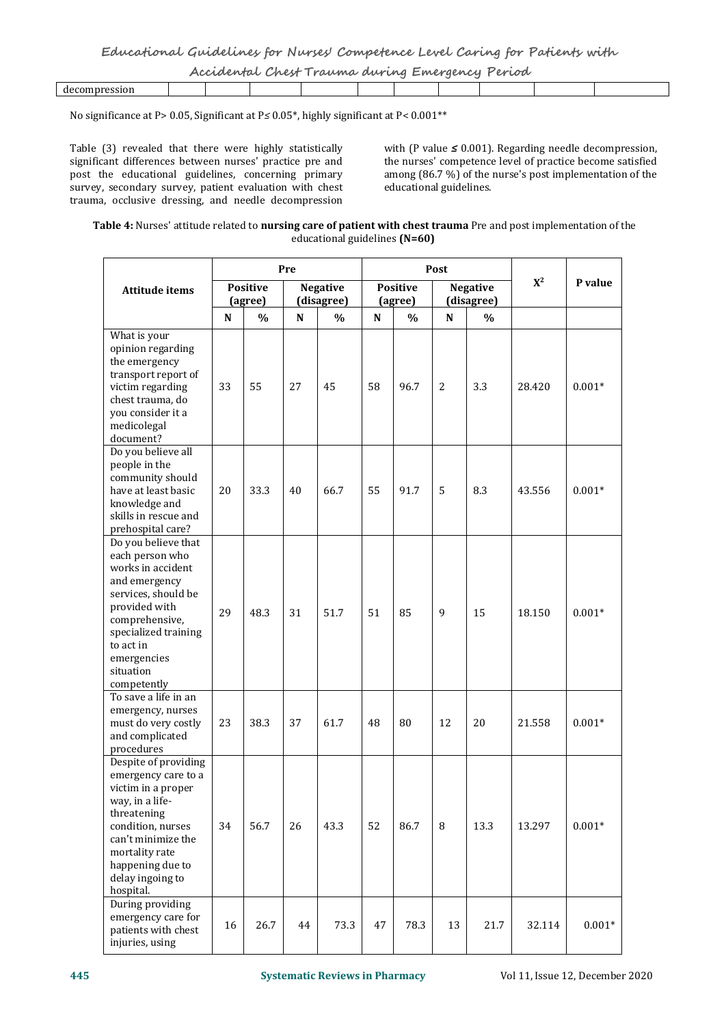| Accidental Chest Trauma during Emergency Period |  |
|-------------------------------------------------|--|
|-------------------------------------------------|--|

|  |  |  |  | - - - - - |  |
|--|--|--|--|-----------|--|
|  |  |  |  |           |  |

No significance at P> 0.05, Significant at P*≤* 0.05\*, highly significant at P< 0.001\*\*

Table (3) revealed that there were highly statistically  $\qquad$  with (P value  $\leq$  0.001). Regarding needle decompression, significant differences between nurses' practice pre and the nurses' competence level of practice b significant differences between nurses' practice pre and post the educational guidelines, concerning primary survey, secondary survey, patient evaluation with chest trauma, occlusive dressing, and needle decompression Table (3) revealed that there were highly statistically with (P value ≤ 0.001). Regarding needle decompression, significant differences between nurses' practice pre and post the educational guidelines, concerning primary

among (86.7 %) of the nurse's post implementation of the educational guidelines.

## **Table 4:** Nurses' attitude related to **nursing care of patient with chest trauma** Pre and post implementation of the educational guidelines **(N=60)**

|                                                                                                                                                                                                                        | Pre       |                            |             |                               |           |                            |             |                               |        |          |  |
|------------------------------------------------------------------------------------------------------------------------------------------------------------------------------------------------------------------------|-----------|----------------------------|-------------|-------------------------------|-----------|----------------------------|-------------|-------------------------------|--------|----------|--|
| <b>Attitude items</b>                                                                                                                                                                                                  |           | <b>Positive</b><br>(agree) |             | <b>Negative</b><br>(disagree) |           | <b>Positive</b><br>(agree) |             | <b>Negative</b><br>(disagree) | $X^2$  | P value  |  |
|                                                                                                                                                                                                                        | ${\bf N}$ | $\frac{0}{0}$              | $\mathbf N$ | $\%$                          | ${\bf N}$ | $\frac{0}{0}$              | $\mathbf N$ | $\frac{0}{0}$                 |        |          |  |
| What is your<br>opinion regarding<br>the emergency<br>transport report of<br>victim regarding<br>chest trauma, do<br>you consider it a<br>medicolegal<br>document?                                                     | 33        | 55                         | 27          | 45                            | 58        | 96.7                       | 2           | 3.3                           | 28.420 | $0.001*$ |  |
| Do you believe all<br>people in the<br>community should<br>have at least basic<br>knowledge and<br>skills in rescue and<br>prehospital care?                                                                           | 20        | 33.3                       | 40          | 66.7                          | 55        | 91.7                       | 5           | 8.3                           | 43.556 | $0.001*$ |  |
| Do you believe that<br>each person who<br>works in accident<br>and emergency<br>services, should be<br>provided with<br>comprehensive,<br>specialized training<br>to act in<br>emergencies<br>situation<br>competently | 29        | 48.3                       | 31          | 51.7                          | 51        | 85                         | 9           | 15                            | 18.150 | $0.001*$ |  |
| To save a life in an<br>emergency, nurses<br>must do very costly<br>and complicated<br>procedures                                                                                                                      | 23        | 38.3                       | 37          | 61.7                          | 48        | 80                         | 12          | 20                            | 21.558 | $0.001*$ |  |
| Despite of providing<br>emergency care to a<br>victim in a proper<br>way, in a life-<br>threatening<br>condition, nurses<br>can't minimize the<br>mortality rate<br>happening due to<br>delay ingoing to<br>hospital.  | 34        | 56.7                       | 26          | 43.3                          | 52        | 86.7                       | 8           | 13.3                          | 13.297 | $0.001*$ |  |
| During providing<br>emergency care for<br>patients with chest<br>injuries, using                                                                                                                                       | 16        | 26.7                       | 44          | 73.3                          | 47        | 78.3                       | 13          | 21.7                          | 32.114 | $0.001*$ |  |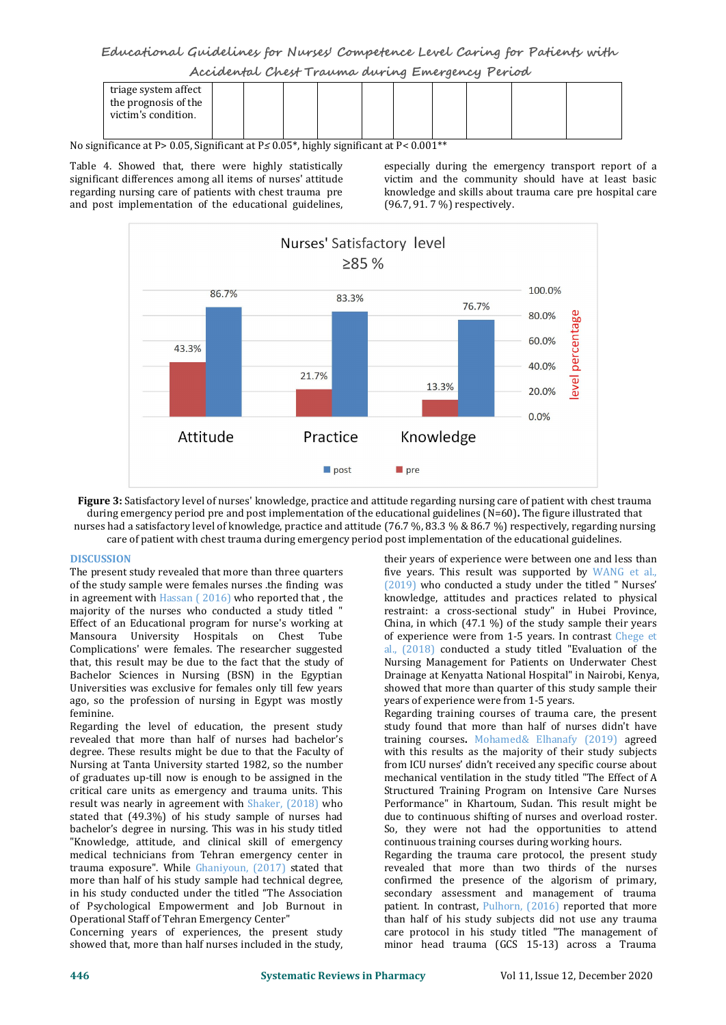**Educational Guidelines for Nurses' Competence Level Caring for Patients with Accidental Chest Trauma during Emergency Period**

| triage system affect |  |  |  |  |  |
|----------------------|--|--|--|--|--|
| the prognosis of the |  |  |  |  |  |
| victim's condition.  |  |  |  |  |  |
|                      |  |  |  |  |  |

No significance at P> 0.05, Significant at P≤ 0.05<sup>\*</sup>, highly significant at P< 0.001<sup>\*\*</sup>

Table 4. Showed that, there were highly statistically especially during the emergency transport report of a significant differences among all items of nurses' attitude victim and the community should have at least basic<br>regarding nursing care of patients with chest trauma pre knowledge and skills about trauma care pre hospital c regarding nursing care of patients with chest trauma pre and post implementation of the educational guidelines,

victim and the community should have at least basic (96.7, 91. 7 %) respectively.



**Figure 3:** Satisfactory level of nurses' knowledge, practice and attitude regarding nursing care of patient with chest trauma during emergency period pre and post implementation of the educational guidelines (N=60)**.** The figure illustrated that nurses had a satisfactory level of knowledge, practice and attitude (76.7 %, 83.3 % & 86.7 %) respectively, regarding nursing care of patient with chest trauma during emergency period post implementation of the educational guidelines.

### **DISCUSSION**

The present study revealed that more than three quarters of the study sample were females nurses .the finding was in agreement with Hassan ( 2016) who reported that , the majority of the nurses who conducted a study titled " Effect of an Educational program for nurse's working at Mansoura University Hospitals on Chest Tube Complications' were females. The researcher suggested that, this result may be due to the fact that the study of Bachelor Sciences in Nursing (BSN) in the Egyptian Universities was exclusive for females only till few years ago, so the profession of nursing in Egypt was mostly feminine.

Regarding the level of education, the present study revealed that more than half of nurses had bachelor's degree. These results might be due to that the Faculty of Nursing at Tanta University started 1982, so the number of graduates up-till now is enough to be assigned in the critical care units as emergency and trauma units. This result was nearly in agreement with Shaker, (2018) who stated that (49.3%) of his study sample of nurses had bachelor's degree in nursing. This was in his study titled "Knowledge, attitude, and clinical skill of emergency medical technicians from Tehran emergency center in trauma exposure". While Ghaniyoun, (2017) stated that more than half of his study sample had technical degree, in his study conducted under the titled "The Association of Psychological Empowerment and Job Burnout in Operational Staff of Tehran Emergency Center"

Concerning years of experiences, the present study showed that, more than half nurses included in the study,

their years of experience were between one and less than five years. This result was supported by WANG et al., (2019) who conducted a study under the titled " Nurses' knowledge, attitudes and practices related to physical restraint: a cross-sectional study" in Hubei Province, China, in which  $(47.1 \%)$  of the study sample their years of experience were from 1-5 years. In contrast Chege et al., (2018) conducted a study titled "Evaluation of the Nursing Management for Patients on Underwater Chest Drainage at Kenyatta National Hospital" in Nairobi, Kenya, showed that more than quarter of this study sample their years of experience were from 1-5 years.

Regarding training courses of trauma care, the present study found that more than half of nurses didn't have training courses**.** Mohamed& Elhanafy (2019) agreed with this results as the majority of their study subjects from ICU nurses' didn't received any specific course about mechanical ventilation in the study titled "The Effect of A Structured Training Program on Intensive Care Nurses Performance" in Khartoum, Sudan. This result might be due to continuous shifting of nurses and overload roster. So, they were not had the opportunities to attend continuous training courses during working hours.

Regarding the trauma care protocol, the present study revealed that more than two thirds of the nurses confirmed the presence of the algorism of primary, secondary assessment and management of trauma patient. In contrast, Pulhorn, (2016) reported that more than half of his study subjects did not use any trauma care protocol in his study titled "The management of minor head trauma (GCS 15-13) across a Trauma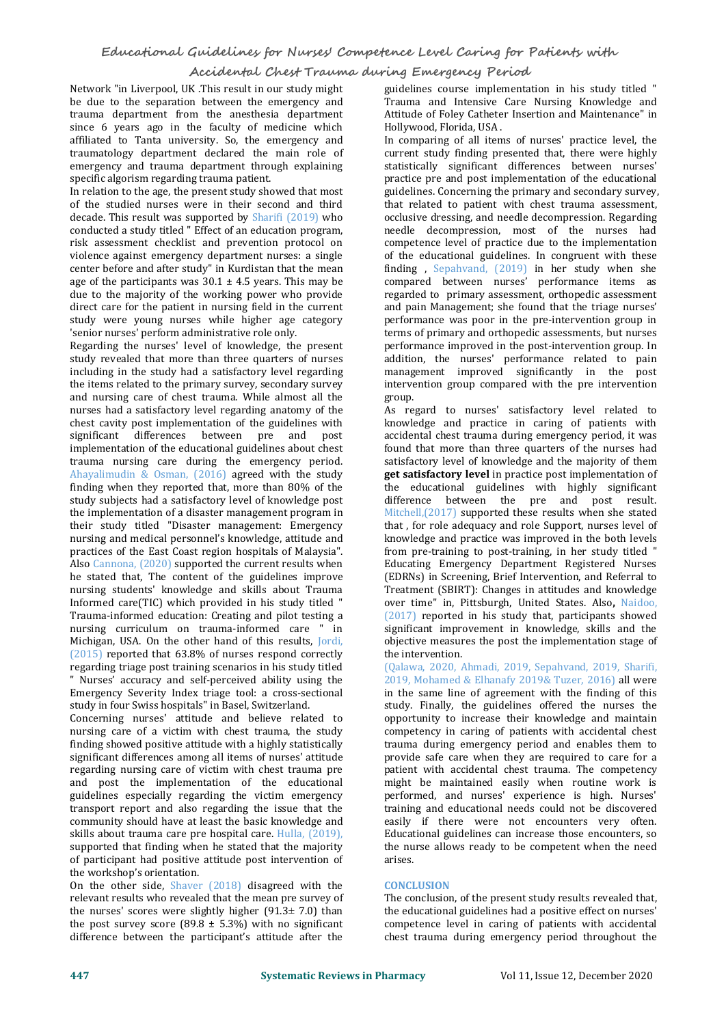Network "in Liverpool,UK .This result in our study might be due to the separation between the emergency and trauma department from the anesthesia department since 6 years ago in the faculty of medicine which affiliated to Tanta university. So, the emergency and traumatology department declared the main role of emergency and trauma department through explaining specific algorism regarding trauma patient.

In relation to the age, the present study showed that most of the studied nurses were in their second and third decade. This result was supported by Sharifi (2019) who conducted a study titled " Effect of an education program, risk assessment checklist and prevention protocol on violence against emergency department nurses: a single center before and after study" in Kurdistan that the mean age of the participants was  $30.1 \pm 4.5$  years. This may be due to the majority of the working power who provide direct care for the patient in nursing field in the current study were young nurses while higher age category 'senior nurses' perform administrative role only.

Regarding the nurses' level of knowledge, the present study revealed that more than three quarters of nurses including in the study had a satisfactory level regarding the items related to the primary survey, secondary survey and nursing care of chest trauma. While almost all the nurses had a satisfactory level regarding anatomy of the chest cavity post implementation of the guidelines with significant differences between pre and post implementation of the educational guidelines about chest trauma nursing care during the emergency period. Ahayalimudin & Osman, (2016) agreed with the study finding when they reported that, more than 80% of the study subjects had a satisfactory level of knowledge post the implementation of a disaster management program in their study titled "Disaster management: Emergency nursing and medical personnel's knowledge, attitude and practices of the East Coast region hospitals of Malaysia". Also Cannona, (2020) supported the current results when he stated that, The content of the guidelines improve nursing students' knowledge and skills about Trauma Informed care(TIC) which provided in his study titled " Trauma-informed education: Creating and pilot testing a nursing curriculum on trauma-informed care " in Michigan, USA. On the other hand of this results, Jordi, (2015) reported that 63.8% of nurses respond correctly regarding triage post training scenarios in his study titled " Nurses' accuracy and self-perceived ability using the Emergency Severity Index triage tool: a cross-sectional study in four Swiss hospitals" in Basel, Switzerland.

Concerning nurses' attitude and believe related to nursing care of a victim with chest trauma, the study finding showed positive attitude with a highly statistically significant differences among all items of nurses' attitude regarding nursing care of victim with chest trauma pre and post the implementation of the educational guidelines especially regarding the victim emergency transport report and also regarding the issue that the community should have at least the basic knowledge and skills about trauma care pre hospital care. Hulla, (2019), supported that finding when he stated that the majority of participant had positive attitude post intervention of the workshop's orientation.

On the other side, Shaver (2018) disagreed with the relevant results who revealed that the mean pre survey of the nurses' scores were slightly higher  $(91.3 \pm 7.0)$  than the post survey score  $(89.8 \pm 5.3\%)$  with no significant difference between the participant's attitude after the

guidelines course implementation in his study titled " Trauma and Intensive Care Nursing Knowledge and Attitude of Foley Catheter Insertion and Maintenance" in Hollywood, Florida, USA .

In comparing of all items of nurses' practice level, the current study finding presented that, there were highly statistically significant differences between nurses' practice pre and post implementation of the educational guidelines. Concerning the primary and secondary survey, that related to patient with chest trauma assessment, occlusive dressing, and needle decompression. Regarding needle decompression, most of the nurses had competence level of practice due to the implementation of the educational guidelines. In congruent with these finding , Sepahvand, (2019) in her study when she compared between nurses' performance items as regarded to primary assessment, orthopedic assessment and pain Management; she found that the triage nurses' performance was poor in the pre-intervention group in terms of primary and orthopedic assessments, but nurses performance improved in the post-intervention group. In addition, the nurses' performance related to pain management improved significantly in the post intervention group compared with the pre intervention group.

As regard to nurses' satisfactory level related to knowledge and practice in caring of patients with accidental chest trauma during emergency period, it was found that more than three quarters of the nurses had satisfactory level of knowledge and the majority of them **get satisfactory level** in practice post implementation of the educational guidelines with highly significant difference between the pre and post result. Mitchell,(2017) supported these results when she stated that , for role adequacy and role Support, nurses level of knowledge and practice was improved in the both levels from pre-training to post-training, in her study titled " Educating Emergency Department Registered Nurses (EDRNs) in Screening, Brief Intervention, and Referral to Treatment (SBIRT): Changes in attitudes and knowledge over time" in, Pittsburgh, United States. Also**,** Naidoo, (2017) reported in his study that, participants showed significant improvement in knowledge, skills and the objective measures the post the implementation stage of the intervention.

(Qalawa, 2020, Ahmadi, 2019, Sepahvand, 2019, Sharifi, 2019, Mohamed & Elhanafy 2019& Tuzer, 2016) all were in the same line of agreement with the finding of this study. Finally, the guidelines offered the nurses the opportunity to increase their knowledge and maintain competency in caring of patients with accidental chest trauma during emergency period and enables them to provide safe care when they are required to care for a patient with accidental chest trauma. The competency might be maintained easily when routine work is performed, and nurses' experience is high. Nurses' training and educational needs could not be discovered easily if there were not encounters very often. Educational guidelines can increase those encounters, so the nurse allows ready to be competent when the need arises.

### **CONCLUSION**

The conclusion, of the present study results revealed that, the educational guidelines had a positive effect on nurses' competence level in caring of patients with accidental chest trauma during emergency period throughout the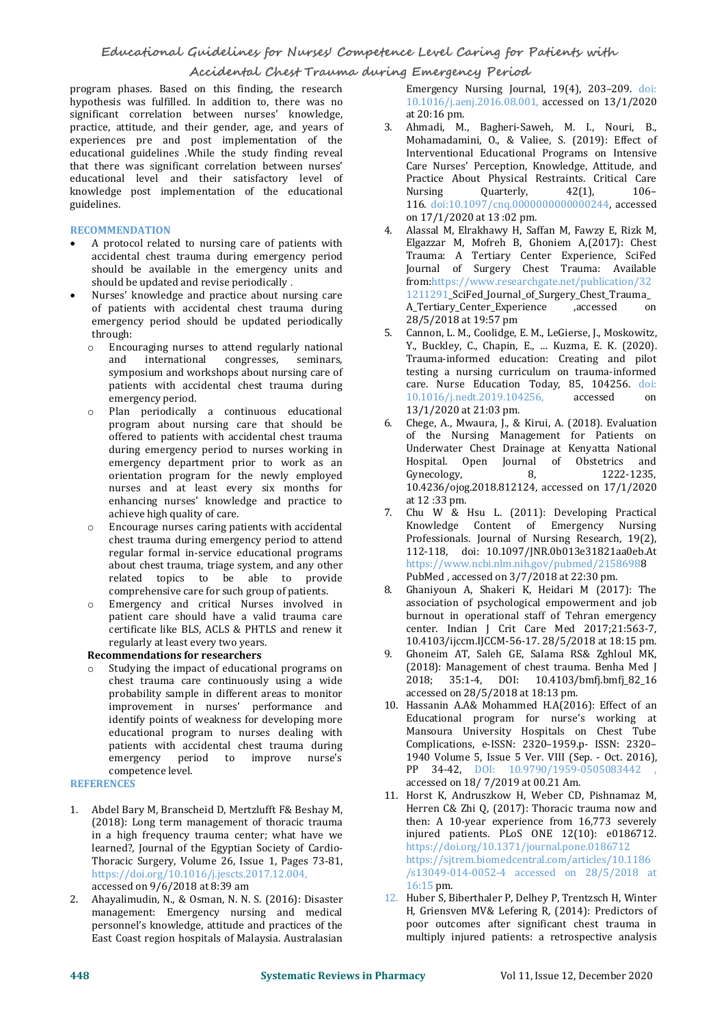program phases. Based on this finding, the research hypothesis was fulfilled. In addition to, there was no significant correlation between nurses' knowledge, practice, attitude, and their gender, age, and years of experiences pre and post implementation of the educational guidelines .While the study finding reveal that there was significant correlation between nurses' educational level and their satisfactory level of Practice<br>knowledge post implementation of the educational Mursing knowledge post implementation of the educational guidelines.

### **RECOMMENDATION**

- A protocol related to nursing care of patients with accidental chest trauma during emergency period should be available in the emergency units and should be updated and revise periodically.
- Nurses' knowledge and practice about nursing care of patients with accidental chest trauma during emergency period should be updated periodically through:
	- o Encouraging nurses to attend regularly national and international congresses, seminars, symposium and workshops about nursing care of patients with accidental chest trauma during emergency period.
	- o Plan periodically a continuous educational program about nursing care that should be offered to patients with accidental chest trauma during emergency period to nurses working in emergency department prior to work as an a Hospital. (<br>orientation program for the newly employed Gynecology, orientation program for the newly employed nurses and at least every six months for enhancing nurses' knowledge and practice to<br>achieve high quality of care achieve high quality of care.
	- o Encourage nurses caring patients with accidental chest trauma during emergency period to attend regular formal in-service educational programs about chest trauma, triage system, and any other related topics to be able to provide<br>
	comprehensive care for such group of patients 8 comprehensive care for such group of patients.
	- Emergency and critical Nurses involved in patient care should have a valid trauma care certificate like BLS, ACLS & PHTLS and renew it

regularly at least every two years. **Recommendations for researchers**

Studying the impact of educational programs on chest trauma care continuously using a wide probability sample in different areas to monitor improvement in nurses' performance and identify points of weakness for developing more educational program to nurses dealing with patients with accidental chest trauma during<br>emergency period to improve nurse's emergency period to<br>competence level.

**REFERENCES** 

- 1. Abdel Bary M, Branscheid D, Mertzlufft F& Beshay M, (2018): Long term management of thoracic trauma in a high frequency trauma center; what have we learned?, Journal of the Egyptian Society of Cardio- Thoracic Surgery, Volume 26, Issue 1, Pages 73-81, https://doi.org/10.1016/j.jescts.2017.12.004, accessed on 9/6/2018 at 8:39 am
- 2. Ahayalimudin, N., & Osman, N. N. S. (2016): Disaster management: Emergency nursing and medical personnel's knowledge, attitude and practices of the East Coast region hospitals of Malaysia. Australasian

Emergency Nursing Journal, 19(4), 203–209. doi: 10.1016/j.aenj.2016.08.001, accessed on 13/1/2020 at 20:16 pm.

- 3. Ahmadi, M., Bagheri-Saweh, M. I., Nouri, B., Mohamadamini, O., & Valiee, S. (2019): Effect of Interventional Educational Programs on Intensive Care Nurses' Perception, Knowledge, Attitude, and Practice About Physical Restraints. Critical Care<br>Nursing Quarterly, 42(1), 106-Nursing Quarterly, 42(1), 106– 116. doi:10.1097/cnq.0000000000000244, accessed on 17/1/2020 at 13 :02 pm.
- 4. Alassal M, Elrakhawy H, Saffan M, Fawzy E, Rizk M, Elgazzar M, Mofreh B, Ghoniem A,(2017): Chest Trauma: A Tertiary Center Experience, SciFed Journal of Surgery Chest Trauma: Available from[:https://www.researchgate.net/publication/32](https://www.researchgate.net/publication/321211291_SciFed_Journal_of_Surgery_Chest_Trauma_A_Tertiary_Center_Experience) 1211291\_SciFed\_Journal\_of\_Surgery\_Chest\_Trauma\_ A\_Tertiary\_Center\_Experience 28/5/2018 at 19:57 pm
- 5. Cannon, L. M., Coolidge, E. M., LeGierse, J., Moskowitz, Y., Buckley, C., Chapin, E., … Kuzma, E. K. (2020). Trauma-informed education: Creating and pilot testing a nursing curriculum on trauma-informed care. Nurse Education Today, 85, 104256. doi:<br>10.1016/inedt.2019.104256 accessed on 10.1016/j.nedt.2019.104256, 13/1/2020 at 21:03 pm.
- 6. Chege, A., Mwaura, J., & Kirui, A. (2018). Evaluation of the Nursing Management for Patients on Underwater Chest Drainage at Kenyatta National Hospital. Open Journal of Obstetrics and<br>Gynecology, 8, 1222-1235, Gynecology, 8, 1222-1235, [10.4236/ojog.2018.812124](https://doi.org/10.4236/ojog.2018.812124), accessed on 17/1/2020 at 12 :33 pm.
- Chu W & Hsu L. (2011): Developing Practical<br>Knowledge Content of Emergency Nursing Content of Emergency Professionals. Journal of Nursing Research, 19(2), 112-118, doi: 10.1097/JNR.0b013e31821aa0eb.At <https://www.ncbi.nlm.nih.gov/pubmed/21586988> PubMed , accessed on 3/7/2018 at 22:30 pm.
- Ghaniyoun A, Shakeri K, Heidari M (2017): The association of psychological empowerment and job burnout in operational staff of Tehran emergency center. Indian J Crit Care Med 2017;21:563-7, [10.4103/ijccm.IJCCM-56-17](https://www.researchgate.net/deref/http%3A%2F%2Fdx.doi.org%2F10.4103%2Fijccm.IJCCM-56-17). 28/5/2018 at 18:15 pm.
- 9. Ghoneim AT, Saleh GE, Salama RS& Zghloul MK, (2018): Management of chest trauma. Benha Med J 2018; 35:1-4, DOI: 10.4103/bmfj.bmfj\_82\_16 accessed on 28/5/2018 at 18:13 pm.
- 10. Hassanin A.A& Mohammed H.A(2016): Effect of an Educational program for nurse's working at Mansoura University Hospitals on Chest Tube Complications, e-ISSN: 2320–1959.p- ISSN: 2320– 1940 Volume 5, Issue 5 Ver. VIII (Sep.- Oct. 2016), PP 34-42, DOI: 10.9790/1959-0505083442 accessed on 18/ 7/2019 at 00.21 Am.
- 11. Horst K, Andruszkow H, Weber CD, Pishnamaz M, Herren C& Zhi Q, (2017): Thoracic trauma now and then: A 10-year experience from  $16,773$  severely injured patients. PLoS ONE 12(10): e0186712. <https://doi.org/10.1371/journal.pone.0186712> [https://sjtrem.biomedcentral.com/articles/10.1186](https://sjtrem.biomedcentral.com/articles/10.1186/s13049-014-0052-4%20accessed%20on%2028/5/2018%20at%2016:15) /s13049-014-0052-4 accessed on 28/5/2018 at 16:15 pm.
- 12. Huber S, Biberthaler P, Delhey P, Trentzsch H, Winter H, Griensven MV& Lefering R, (2014): Predictors of poor outcomes after significant chest trauma in multiply injured patients: a retrospective analysis